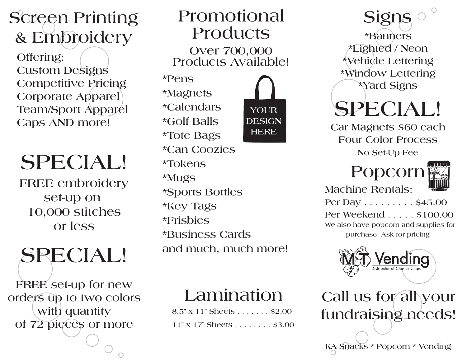#### **Screen Printing & Embroidery**

**Offering: Custom Designs Competitive Pricing Corporate Apparel Team/Sport Apparel Caps AND more!**

## **SPECIAL!**

**FREE embroidery set-up on 10,000 stitches or less**

## **SPECIAL!**

**FREE set-up for new orders up to two colors with quantity of 72 pieces or more**

#### **Promotional Products Over 700,000 Products Available!**

**\*Pens \*Magnets \*Calendars \*Golf Balls \*Tote Bags \*Can Coozies \*Tokens \*Mugs \*Sports Bottles \*Key Tags \*Frisbies \*Business Cards and much, much more! YOUR DESIGN HERE**

#### **Lamination**

**8.5" x 11" Sheets . . . . . . . \$2.00 11" x 17" Sheets . . . . . . . . \$3.00**

**Signs \*Banners \*Lighted / Neon \*Vehicle Lettering \*Window Lettering \*Yard Signs**

## **SPECIAL!**

**Car Magnets \$60 each Four Color Process No Set-Up Fee**

### **Popcorn**



**Machine Rentals:**

**Per Day . . . . . . . . . \$45.00 Per Weekend . . . . . \$100.00 We also have popcorn and supplies for purchase. Ask for pricing**



**Call us for all your fundraising needs!**

**KA Snacks \* Popcorn \* Vending**